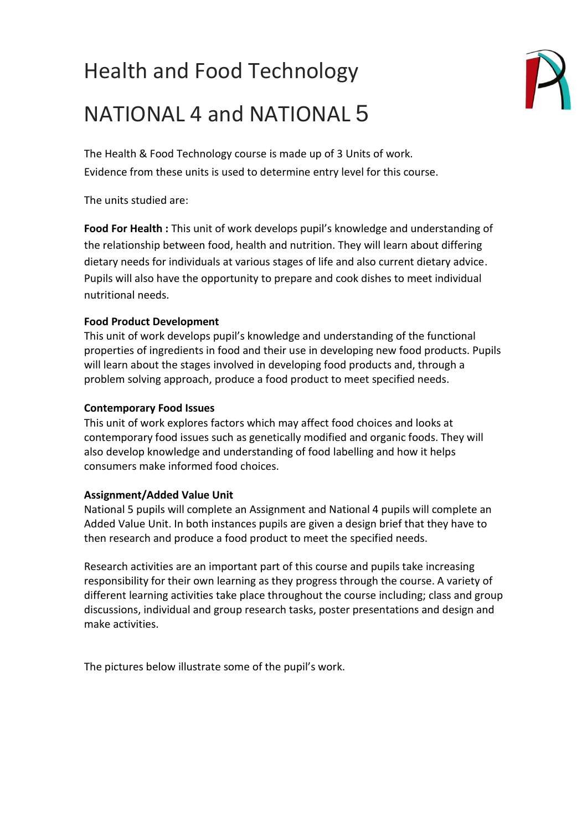# Health and Food Technology



# NATIONAL 4 and NATIONAL 5

The Health & Food Technology course is made up of 3 Units of work. Evidence from these units is used to determine entry level for this course.

The units studied are:

**Food For Health :** This unit of work develops pupil's knowledge and understanding of the relationship between food, health and nutrition. They will learn about differing dietary needs for individuals at various stages of life and also current dietary advice. Pupils will also have the opportunity to prepare and cook dishes to meet individual nutritional needs.

## **Food Product Development**

This unit of work develops pupil's knowledge and understanding of the functional properties of ingredients in food and their use in developing new food products. Pupils will learn about the stages involved in developing food products and, through a problem solving approach, produce a food product to meet specified needs.

### **Contemporary Food Issues**

This unit of work explores factors which may affect food choices and looks at contemporary food issues such as genetically modified and organic foods. They will also develop knowledge and understanding of food labelling and how it helps consumers make informed food choices.

### **Assignment/Added Value Unit**

National 5 pupils will complete an Assignment and National 4 pupils will complete an Added Value Unit. In both instances pupils are given a design brief that they have to then research and produce a food product to meet the specified needs.

Research activities are an important part of this course and pupils take increasing responsibility for their own learning as they progress through the course. A variety of different learning activities take place throughout the course including; class and group discussions, individual and group research tasks, poster presentations and design and make activities.

The pictures below illustrate some of the pupil's work.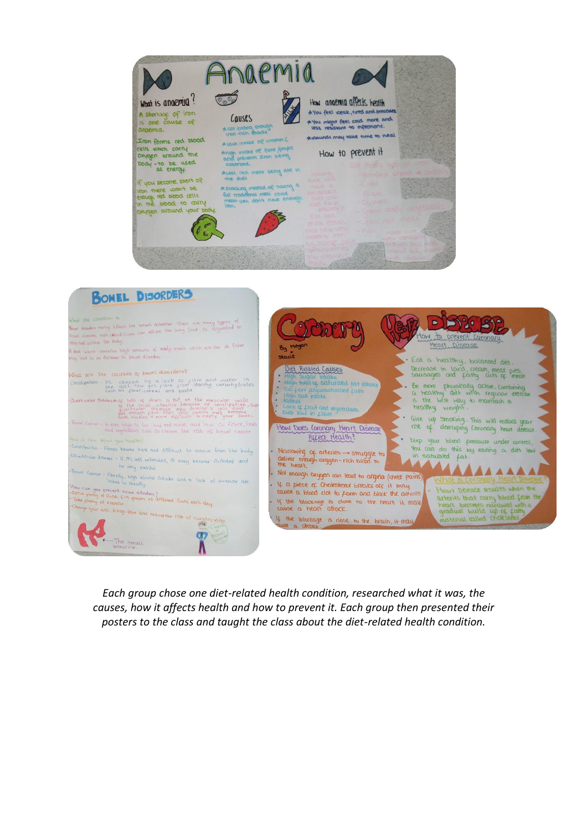



*Each group chose one diet-related health condition, researched what it was, the causes, how it affects health and how to prevent it. Each group then presented their posters to the class and taught the class about the diet-related health condition.*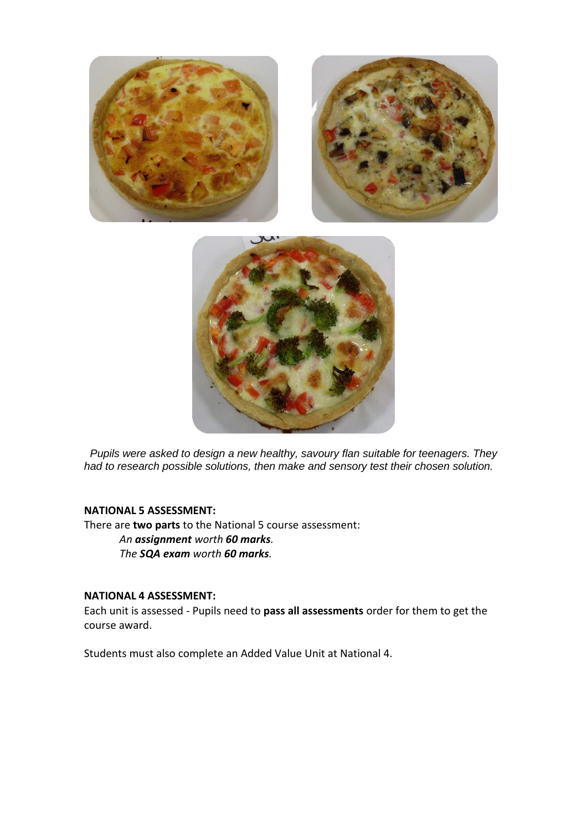



*Pupils were asked to design a new healthy, savoury flan suitable for teenagers. They had to research possible solutions, then make and sensory test their chosen solution.*

#### **NATIONAL 5 ASSESSMENT:**

There are **two parts** to the National 5 course assessment: *An assignment worth 60 marks. The SQA exam worth 60 marks.*

#### **NATIONAL 4 ASSESSMENT:**

Each unit is assessed - Pupils need to **pass all assessments** order for them to get the course award.

Students must also complete an Added Value Unit at National 4.